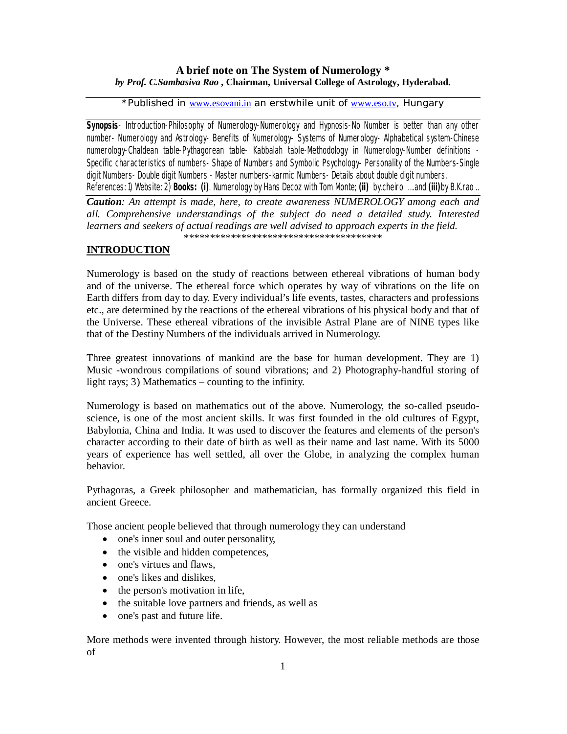# **A brief note on The System of Numerology \*** *by Prof. C.Sambasiva Rao* **, Chairman, Universal College of Astrology, Hyderabad.**

\*Published in www.esovani.in an erstwhile unit of www.eso.tv, Hungary

**Synopsis**- Introduction-Philosophy of Numerology-Numerology and Hypnosis-No Number is better than any other number- Numerology and Astrology- Benefits of Numerology- Systems of Numerology- Alphabetical system-Chinese numerology-Chaldean table-Pythagorean table- Kabbalah table-Methodology in Numerology-Number definitions - Specific characteristics of numbers- Shape of Numbers and Symbolic Psychology- Personality of the Numbers-Single digit Numbers- Double digit Numbers - Master numbers-karmic Numbers- Details about double digit numbers. References: 1) Website: 2) **Books: (i)**. Numerology by Hans Decoz with Tom Monte; **(ii)** by.cheiro ….and **(iii)**by B.K.rao ..

*Caution: An attempt is made, here, to create awareness NUMEROLOGY among each and all. Comprehensive understandings of the subject do need a detailed study. Interested learners and seekers of actual readings are well advised to approach experts in the field.* \*\*\*\*\*\*\*\*\*\*\*\*\*\*\*\*\*\*\*\*\*\*\*\*\*\*\*\*\*\*\*\*\*\*\*\*\*\*

# **INTRODUCTION**

Numerology is based on the study of reactions between ethereal vibrations of human body and of the universe. The ethereal force which operates by way of vibrations on the life on Earth differs from day to day. Every individual's life events, tastes, characters and professions etc., are determined by the reactions of the ethereal vibrations of his physical body and that of the Universe. These ethereal vibrations of the invisible Astral Plane are of NINE types like that of the Destiny Numbers of the individuals arrived in Numerology.

Three greatest innovations of mankind are the base for human development. They are 1) Music -wondrous compilations of sound vibrations; and 2) Photography-handful storing of light rays; 3) Mathematics – counting to the infinity.

Numerology is based on mathematics out of the above. Numerology, the so-called pseudoscience, is one of the most ancient skills. It was first founded in the old cultures of Egypt, Babylonia, China and India. It was used to discover the features and elements of the person's character according to their date of birth as well as their name and last name. With its 5000 years of experience has well settled, all over the Globe, in analyzing the complex human behavior.

Pythagoras, a Greek philosopher and mathematician, has formally organized this field in ancient Greece.

Those ancient people believed that through numerology they can understand

- one's inner soul and outer personality,
- the visible and hidden competences,
- one's virtues and flaws,
- one's likes and dislikes.
- the person's motivation in life,
- the suitable love partners and friends, as well as
- one's past and future life.

More methods were invented through history. However, the most reliable methods are those of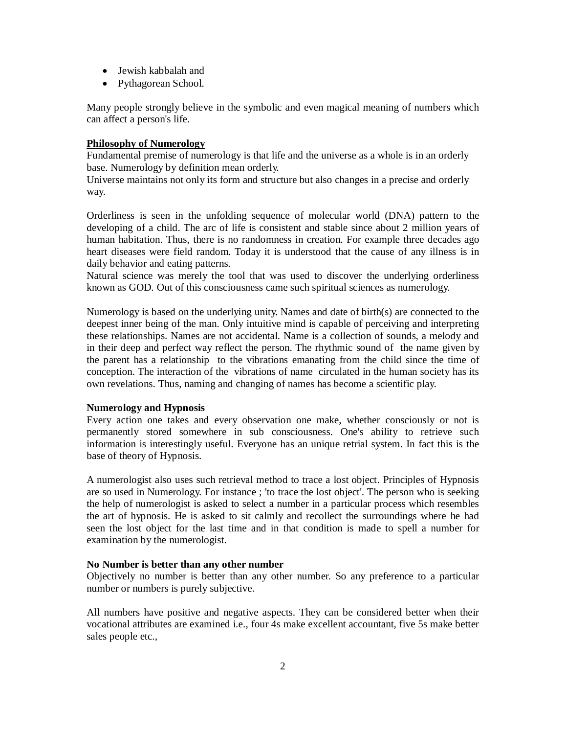- Jewish kabbalah and
- Pythagorean School.

Many people strongly believe in the symbolic and even magical meaning of numbers which can affect a person's life.

## **Philosophy of Numerology**

Fundamental premise of numerology is that life and the universe as a whole is in an orderly base. Numerology by definition mean orderly.

Universe maintains not only its form and structure but also changes in a precise and orderly way.

Orderliness is seen in the unfolding sequence of molecular world (DNA) pattern to the developing of a child. The arc of life is consistent and stable since about 2 million years of human habitation. Thus, there is no randomness in creation. For example three decades ago heart diseases were field random. Today it is understood that the cause of any illness is in daily behavior and eating patterns.

Natural science was merely the tool that was used to discover the underlying orderliness known as GOD. Out of this consciousness came such spiritual sciences as numerology.

Numerology is based on the underlying unity. Names and date of birth(s) are connected to the deepest inner being of the man. Only intuitive mind is capable of perceiving and interpreting these relationships. Names are not accidental. Name is a collection of sounds, a melody and in their deep and perfect way reflect the person. The rhythmic sound of the name given by the parent has a relationship to the vibrations emanating from the child since the time of conception. The interaction of the vibrations of name circulated in the human society has its own revelations. Thus, naming and changing of names has become a scientific play.

## **Numerology and Hypnosis**

Every action one takes and every observation one make, whether consciously or not is permanently stored somewhere in sub consciousness. One's ability to retrieve such information is interestingly useful. Everyone has an unique retrial system. In fact this is the base of theory of Hypnosis.

A numerologist also uses such retrieval method to trace a lost object. Principles of Hypnosis are so used in Numerology. For instance ; 'to trace the lost object'. The person who is seeking the help of numerologist is asked to select a number in a particular process which resembles the art of hypnosis. He is asked to sit calmly and recollect the surroundings where he had seen the lost object for the last time and in that condition is made to spell a number for examination by the numerologist.

#### **No Number is better than any other number**

Objectively no number is better than any other number. So any preference to a particular number or numbers is purely subjective.

All numbers have positive and negative aspects. They can be considered better when their vocational attributes are examined i.e., four 4s make excellent accountant, five 5s make better sales people etc.,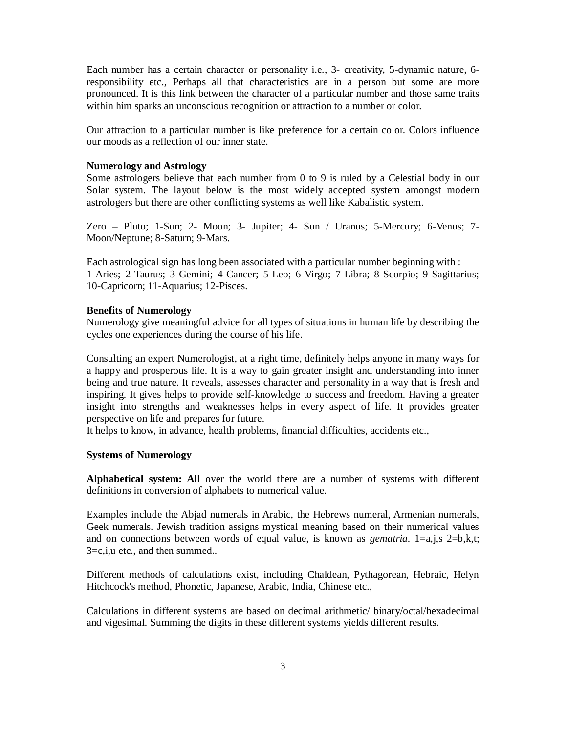Each number has a certain character or personality i.e., 3- creativity, 5-dynamic nature, 6 responsibility etc., Perhaps all that characteristics are in a person but some are more pronounced. It is this link between the character of a particular number and those same traits within him sparks an unconscious recognition or attraction to a number or color.

Our attraction to a particular number is like preference for a certain color. Colors influence our moods as a reflection of our inner state.

#### **Numerology and Astrology**

Some astrologers believe that each number from 0 to 9 is ruled by a Celestial body in our Solar system. The layout below is the most widely accepted system amongst modern astrologers but there are other conflicting systems as well like Kabalistic system.

Zero – Pluto; 1-Sun; 2- Moon; 3- Jupiter; 4- Sun / Uranus; 5-Mercury; 6-Venus; 7- Moon/Neptune; 8-Saturn; 9-Mars.

Each astrological sign has long been associated with a particular number beginning with : 1-Aries; 2-Taurus; 3-Gemini; 4-Cancer; 5-Leo; 6-Virgo; 7-Libra; 8-Scorpio; 9-Sagittarius; 10-Capricorn; 11-Aquarius; 12-Pisces.

#### **Benefits of Numerology**

Numerology give meaningful advice for all types of situations in human life by describing the cycles one experiences during the course of his life.

Consulting an expert Numerologist, at a right time, definitely helps anyone in many ways for a happy and prosperous life. It is a way to gain greater insight and understanding into inner being and true nature. It reveals, assesses character and personality in a way that is fresh and inspiring. It gives helps to provide self-knowledge to success and freedom. Having a greater insight into strengths and weaknesses helps in every aspect of life. It provides greater perspective on life and prepares for future.

It helps to know, in advance, health problems, financial difficulties, accidents etc.,

## **Systems of Numerology**

**Alphabetical system: All** over the world there are a number of systems with different definitions in conversion of alphabets to numerical value.

Examples include the Abjad numerals in Arabic, the Hebrews numeral, Armenian numerals, Geek numerals. Jewish tradition assigns mystical meaning based on their numerical values and on connections between words of equal value, is known as *gematria.* 1=a,j,s 2=b,k,t; 3=c,i,u etc., and then summed..

Different methods of calculations exist, including Chaldean, Pythagorean, Hebraic, Helyn Hitchcock's method, Phonetic, Japanese, Arabic, India, Chinese etc.,

Calculations in different systems are based on decimal arithmetic/ binary/octal/hexadecimal and vigesimal. Summing the digits in these different systems yields different results.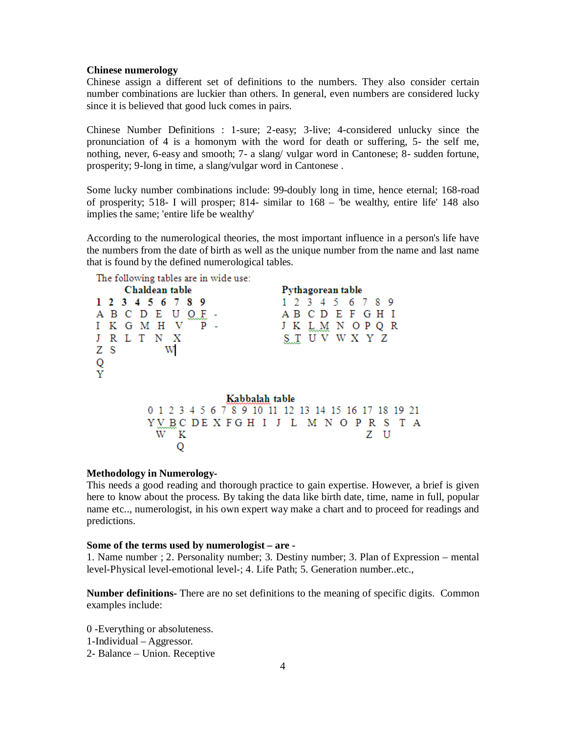#### **Chinese numerology**

Chinese assign a different set of definitions to the numbers. They also consider certain number combinations are luckier than others. In general, even numbers are considered lucky since it is believed that good luck comes in pairs.

Chinese Number Definitions : 1-sure; 2-easy; 3-live; 4-considered unlucky since the pronunciation of 4 is a homonym with the word for death or suffering, 5- the self me, nothing, never, 6-easy and smooth; 7- a slang/ vulgar word in Cantonese; 8- sudden fortune, prosperity; 9-long in time, a slang/vulgar word in Cantonese .

Some lucky number combinations include: 99-doubly long in time, hence eternal; 168-road of prosperity; 518- I will prosper; 814- similar to 168 – 'be wealthy, entire life' 148 also implies the same; 'entire life be wealthy'

According to the numerological theories, the most important influence in a person's life have the numbers from the date of birth as well as the unique number from the name and last name that is found by the defined numerological tables.

| The following tables are in wide use: |                                                      |
|---------------------------------------|------------------------------------------------------|
| Chaldean table                        | Pythagorean table                                    |
| 1 2 3 4 5 6 7 8 9                     | 1 2 3 4 5 6 7 8 9                                    |
| A B C D E<br>U<br>$Q_{\nu}E$ -        | <b>ABCDEFGHI</b>                                     |
| I K G M H V                           | J K L M N O P Q R                                    |
| J R L T N X                           | $\underline{\mathbb{S}}\mathbb{T}$ UV W X Y Z        |
| ΖS<br>W                               |                                                      |
| $\frac{Q}{Y}$                         |                                                      |
|                                       |                                                      |
|                                       |                                                      |
| Kabbalah table                        |                                                      |
|                                       | 0 1 2 3 4 5 6 7 8 9 10 11 12 13 14 15 16 17 18 19 21 |
|                                       | YVRCDEXFGHIJL MNOPRSTA                               |
| w<br>K                                | z u                                                  |
|                                       |                                                      |

# **Methodology in Numerology-**

This needs a good reading and thorough practice to gain expertise. However, a brief is given here to know about the process. By taking the data like birth date, time, name in full, popular name etc.., numerologist, in his own expert way make a chart and to proceed for readings and predictions.

## **Some of the terms used by numerologist – are -**

1. Name number ; 2. Personality number; 3. Destiny number; 3. Plan of Expression – mental level-Physical level-emotional level-; 4. Life Path; 5. Generation number..etc.,

**Number definitions-** There are no set definitions to the meaning of specific digits. Common examples include:

0 -Everything or absoluteness.

- 1-Individual Aggressor.
- 2- Balance Union. Receptive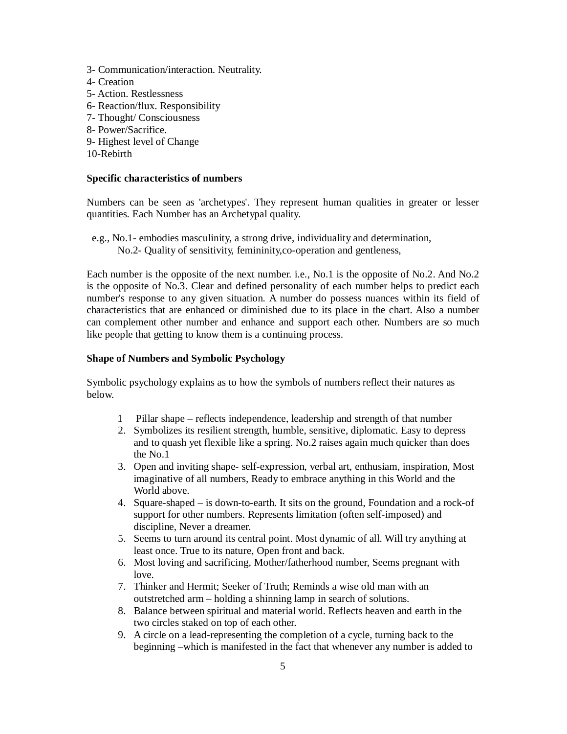- 3- Communication/interaction. Neutrality.
- 4- Creation
- 5- Action. Restlessness
- 6- Reaction/flux. Responsibility
- 7- Thought/ Consciousness
- 8- Power/Sacrifice.
- 9- Highest level of Change
- 10-Rebirth

# **Specific characteristics of numbers**

Numbers can be seen as 'archetypes'. They represent human qualities in greater or lesser quantities. Each Number has an Archetypal quality.

- e.g., No.1- embodies masculinity, a strong drive, individuality and determination,
	- No.2- Quality of sensitivity, femininity,co-operation and gentleness,

Each number is the opposite of the next number. i.e., No.1 is the opposite of No.2. And No.2 is the opposite of No.3. Clear and defined personality of each number helps to predict each number's response to any given situation. A number do possess nuances within its field of characteristics that are enhanced or diminished due to its place in the chart. Also a number can complement other number and enhance and support each other. Numbers are so much like people that getting to know them is a continuing process.

# **Shape of Numbers and Symbolic Psychology**

Symbolic psychology explains as to how the symbols of numbers reflect their natures as below.

- 1 Pillar shape reflects independence, leadership and strength of that number
- 2. Symbolizes its resilient strength, humble, sensitive, diplomatic. Easy to depress and to quash yet flexible like a spring. No.2 raises again much quicker than does the No.1
- 3. Open and inviting shape- self-expression, verbal art, enthusiam, inspiration, Most imaginative of all numbers, Ready to embrace anything in this World and the World above.
- 4. Square-shaped is down-to-earth. It sits on the ground, Foundation and a rock-of support for other numbers. Represents limitation (often self-imposed) and discipline, Never a dreamer.
- 5. Seems to turn around its central point. Most dynamic of all. Will try anything at least once. True to its nature, Open front and back.
- 6. Most loving and sacrificing, Mother/fatherhood number, Seems pregnant with love.
- 7. Thinker and Hermit; Seeker of Truth; Reminds a wise old man with an outstretched arm – holding a shinning lamp in search of solutions.
- 8. Balance between spiritual and material world. Reflects heaven and earth in the two circles staked on top of each other.
- 9. A circle on a lead-representing the completion of a cycle, turning back to the beginning –which is manifested in the fact that whenever any number is added to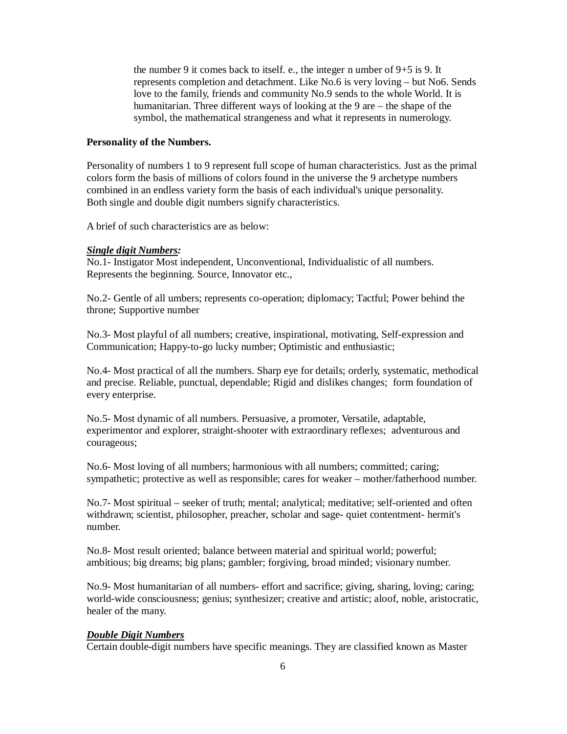the number 9 it comes back to itself. e., the integer n umber of 9+5 is 9. It represents completion and detachment. Like No.6 is very loving – but No6. Sends love to the family, friends and community No.9 sends to the whole World. It is humanitarian. Three different ways of looking at the 9 are – the shape of the symbol, the mathematical strangeness and what it represents in numerology.

# **Personality of the Numbers.**

Personality of numbers 1 to 9 represent full scope of human characteristics. Just as the primal colors form the basis of millions of colors found in the universe the 9 archetype numbers combined in an endless variety form the basis of each individual's unique personality. Both single and double digit numbers signify characteristics.

A brief of such characteristics are as below:

# *Single digit Numbers:*

No.1- Instigator Most independent, Unconventional, Individualistic of all numbers. Represents the beginning. Source, Innovator etc.,

No.2- Gentle of all umbers; represents co-operation; diplomacy; Tactful; Power behind the throne; Supportive number

No.3- Most playful of all numbers; creative, inspirational, motivating, Self-expression and Communication; Happy-to-go lucky number; Optimistic and enthusiastic;

No.4- Most practical of all the numbers. Sharp eye for details; orderly, systematic, methodical and precise. Reliable, punctual, dependable; Rigid and dislikes changes; form foundation of every enterprise.

No.5- Most dynamic of all numbers. Persuasive, a promoter, Versatile, adaptable, experimentor and explorer, straight-shooter with extraordinary reflexes; adventurous and courageous;

No.6- Most loving of all numbers; harmonious with all numbers; committed; caring; sympathetic; protective as well as responsible; cares for weaker – mother/fatherhood number.

No.7- Most spiritual – seeker of truth; mental; analytical; meditative; self-oriented and often withdrawn; scientist, philosopher, preacher, scholar and sage- quiet contentment- hermit's number.

No.8- Most result oriented; balance between material and spiritual world; powerful; ambitious; big dreams; big plans; gambler; forgiving, broad minded; visionary number.

No.9- Most humanitarian of all numbers- effort and sacrifice; giving, sharing, loving; caring; world-wide consciousness; genius; synthesizer; creative and artistic; aloof, noble, aristocratic, healer of the many.

# *Double Digit Numbers*

Certain double-digit numbers have specific meanings. They are classified known as Master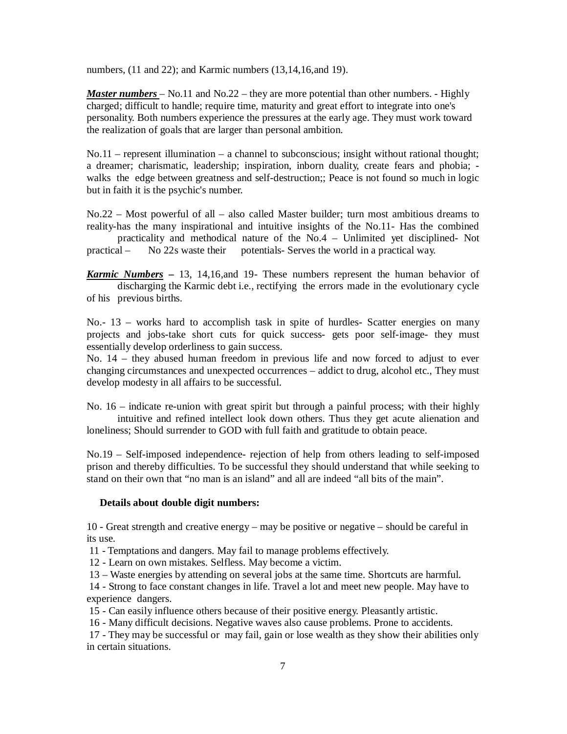numbers, (11 and 22); and Karmic numbers (13,14,16,and 19).

*Master numbers* – No.11 and No.22 – they are more potential than other numbers. - Highly charged; difficult to handle; require time, maturity and great effort to integrate into one's personality. Both numbers experience the pressures at the early age. They must work toward the realization of goals that are larger than personal ambition.

No.11 – represent illumination – a channel to subconscious; insight without rational thought; a dreamer; charismatic, leadership; inspiration, inborn duality, create fears and phobia; walks the edge between greatness and self-destruction;; Peace is not found so much in logic but in faith it is the psychic's number.

No.22 – Most powerful of all – also called Master builder; turn most ambitious dreams to reality-has the many inspirational and intuitive insights of the No.11- Has the combined

practicality and methodical nature of the No.4 – Unlimited yet disciplined- Not practical – No 22s waste their potentials- Serves the world in a practical way.

*Karmic Numbers* **–** 13, 14,16,and 19- These numbers represent the human behavior of discharging the Karmic debt i.e., rectifying the errors made in the evolutionary cycle of his previous births.

No.- 13 – works hard to accomplish task in spite of hurdles- Scatter energies on many projects and jobs-take short cuts for quick success- gets poor self-image- they must essentially develop orderliness to gain success.

No. 14 – they abused human freedom in previous life and now forced to adjust to ever changing circumstances and unexpected occurrences – addict to drug, alcohol etc., They must develop modesty in all affairs to be successful.

No. 16 – indicate re-union with great spirit but through a painful process; with their highly intuitive and refined intellect look down others. Thus they get acute alienation and loneliness; Should surrender to GOD with full faith and gratitude to obtain peace.

No.19 – Self-imposed independence- rejection of help from others leading to self-imposed prison and thereby difficulties. To be successful they should understand that while seeking to stand on their own that "no man is an island" and all are indeed "all bits of the main".

### **Details about double digit numbers:**

10 - Great strength and creative energy – may be positive or negative – should be careful in its use.

11 - Temptations and dangers. May fail to manage problems effectively.

12 - Learn on own mistakes. Selfless. May become a victim.

13 – Waste energies by attending on several jobs at the same time. Shortcuts are harmful.

14 - Strong to face constant changes in life. Travel a lot and meet new people. May have to experience dangers.

15 - Can easily influence others because of their positive energy. Pleasantly artistic.

16 - Many difficult decisions. Negative waves also cause problems. Prone to accidents.

17 - They may be successful or may fail, gain or lose wealth as they show their abilities only in certain situations.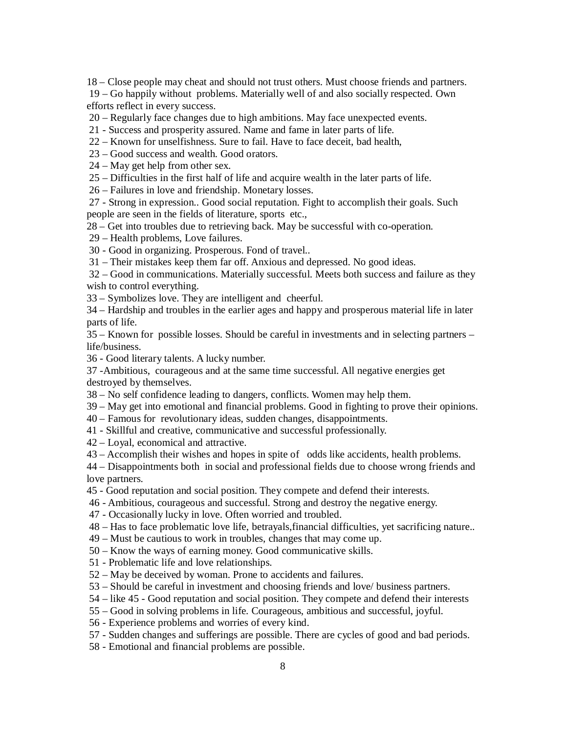18 – Close people may cheat and should not trust others. Must choose friends and partners.

19 – Go happily without problems. Materially well of and also socially respected. Own efforts reflect in every success.

20 – Regularly face changes due to high ambitions. May face unexpected events.

21 - Success and prosperity assured. Name and fame in later parts of life.

22 – Known for unselfishness. Sure to fail. Have to face deceit, bad health,

23 – Good success and wealth. Good orators.

24 – May get help from other sex.

25 – Difficulties in the first half of life and acquire wealth in the later parts of life.

26 – Failures in love and friendship. Monetary losses.

27 - Strong in expression.. Good social reputation. Fight to accomplish their goals. Such people are seen in the fields of literature, sports etc.,

28 – Get into troubles due to retrieving back. May be successful with co-operation.

29 – Health problems, Love failures.

30 - Good in organizing. Prosperous. Fond of travel..

31 – Their mistakes keep them far off. Anxious and depressed. No good ideas.

32 – Good in communications. Materially successful. Meets both success and failure as they wish to control everything.

33 – Symbolizes love. They are intelligent and cheerful.

34 – Hardship and troubles in the earlier ages and happy and prosperous material life in later parts of life.

35 – Known for possible losses. Should be careful in investments and in selecting partners – life/business.

36 - Good literary talents. A lucky number.

37 -Ambitious, courageous and at the same time successful. All negative energies get destroyed by themselves.

38 – No self confidence leading to dangers, conflicts. Women may help them.

39 – May get into emotional and financial problems. Good in fighting to prove their opinions.

- 40 Famous for revolutionary ideas, sudden changes, disappointments.
- 41 Skillful and creative, communicative and successful professionally.

42 – Loyal, economical and attractive.

43 – Accomplish their wishes and hopes in spite of odds like accidents, health problems.

44 – Disappointments both in social and professional fields due to choose wrong friends and love partners.

45 - Good reputation and social position. They compete and defend their interests.

46 - Ambitious, courageous and successful. Strong and destroy the negative energy.

47 - Occasionally lucky in love. Often worried and troubled.

48 – Has to face problematic love life, betrayals,financial difficulties, yet sacrificing nature..

49 – Must be cautious to work in troubles, changes that may come up.

50 – Know the ways of earning money. Good communicative skills.

51 - Problematic life and love relationships.

- 52 May be deceived by woman. Prone to accidents and failures.
- 53 Should be careful in investment and choosing friends and love/ business partners.

54 – like 45 - Good reputation and social position. They compete and defend their interests

55 – Good in solving problems in life. Courageous, ambitious and successful, joyful.

56 - Experience problems and worries of every kind.

57 - Sudden changes and sufferings are possible. There are cycles of good and bad periods.

58 - Emotional and financial problems are possible.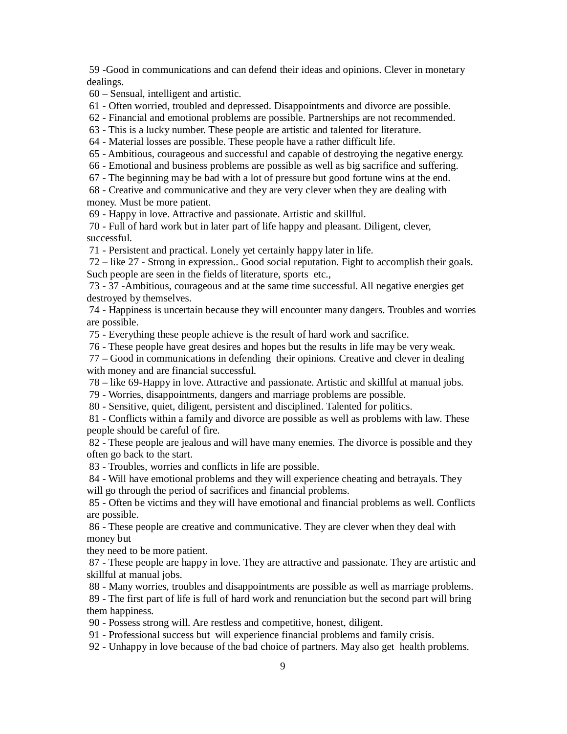59 -Good in communications and can defend their ideas and opinions. Clever in monetary dealings.

60 – Sensual, intelligent and artistic.

61 - Often worried, troubled and depressed. Disappointments and divorce are possible.

62 - Financial and emotional problems are possible. Partnerships are not recommended.

63 - This is a lucky number. These people are artistic and talented for literature.

64 - Material losses are possible. These people have a rather difficult life.

65 - Ambitious, courageous and successful and capable of destroying the negative energy.

66 - Emotional and business problems are possible as well as big sacrifice and suffering.

67 - The beginning may be bad with a lot of pressure but good fortune wins at the end.

68 - Creative and communicative and they are very clever when they are dealing with money. Must be more patient.

69 - Happy in love. Attractive and passionate. Artistic and skillful.

70 - Full of hard work but in later part of life happy and pleasant. Diligent, clever, successful.

71 - Persistent and practical. Lonely yet certainly happy later in life.

72 – like 27 - Strong in expression.. Good social reputation. Fight to accomplish their goals. Such people are seen in the fields of literature, sports etc.,

73 - 37 -Ambitious, courageous and at the same time successful. All negative energies get destroyed by themselves.

74 - Happiness is uncertain because they will encounter many dangers. Troubles and worries are possible.

75 - Everything these people achieve is the result of hard work and sacrifice.

76 - These people have great desires and hopes but the results in life may be very weak.

77 – Good in communications in defending their opinions. Creative and clever in dealing with money and are financial successful.

78 – like 69-Happy in love. Attractive and passionate. Artistic and skillful at manual jobs.

79 - Worries, disappointments, dangers and marriage problems are possible.

80 - Sensitive, quiet, diligent, persistent and disciplined. Talented for politics.

81 - Conflicts within a family and divorce are possible as well as problems with law. These people should be careful of fire.

82 - These people are jealous and will have many enemies. The divorce is possible and they often go back to the start.

83 - Troubles, worries and conflicts in life are possible.

84 - Will have emotional problems and they will experience cheating and betrayals. They will go through the period of sacrifices and financial problems.

85 - Often be victims and they will have emotional and financial problems as well. Conflicts are possible.

86 - These people are creative and communicative. They are clever when they deal with money but

they need to be more patient.

87 - These people are happy in love. They are attractive and passionate. They are artistic and skillful at manual jobs.

88 - Many worries, troubles and disappointments are possible as well as marriage problems.

89 - The first part of life is full of hard work and renunciation but the second part will bring them happiness.

90 - Possess strong will. Are restless and competitive, honest, diligent.

91 - Professional success but will experience financial problems and family crisis.

92 - Unhappy in love because of the bad choice of partners. May also get health problems.